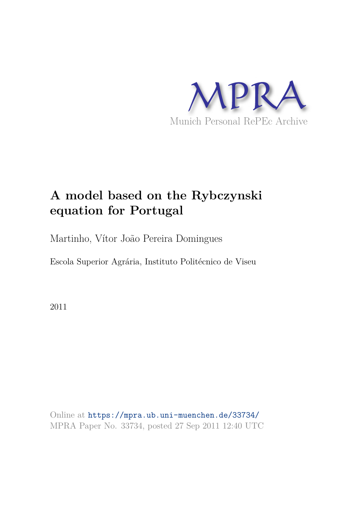

# **A model based on the Rybczynski equation for Portugal**

Martinho, Vítor João Pereira Domingues

Escola Superior Agrária, Instituto Politécnico de Viseu

2011

Online at https://mpra.ub.uni-muenchen.de/33734/ MPRA Paper No. 33734, posted 27 Sep 2011 12:40 UTC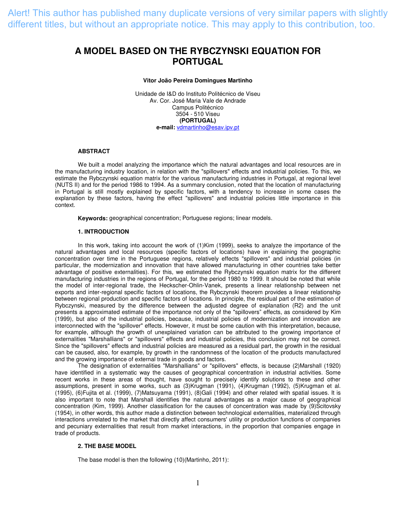Alert! This author has published many duplicate versions of very similar papers with slightly different titles, but without an appropriate notice. This may apply to this contribution, too.

# **A MODEL BASED ON THE RYBCZYNSKI EQUATION FOR PORTUGAL**

#### **Vitor João Pereira Domingues Martinho**

Unidade de I&D do Instituto Politécnico de Viseu Av. Cor. José Maria Vale de Andrade Campus Politécnico 3504 - 510 Viseu **(PORTUGAL) e-mail:** [vdmartinho@esav.ipv.pt](mailto:vdmartinho@esav.ipv.pt)

#### **ABSTRACT**

We built a model analyzing the importance which the natural advantages and local resources are in the manufacturing industry location, in relation with the "spillovers" effects and industrial policies. To this, we estimate the Rybczynski equation matrix for the various manufacturing industries in Portugal, at regional level (NUTS II) and for the period 1986 to 1994. As a summary conclusion, noted that the location of manufacturing in Portugal is still mostly explained by specific factors, with a tendency to increase in some cases the explanation by these factors, having the effect "spillovers" and industrial policies little importance in this context.

**Keywords:** geographical concentration; Portuguese regions; linear models.

# **1. INTRODUCTION**

In this work, taking into account the work of (1)Kim (1999), seeks to analyze the importance of the natural advantages and local resources (specific factors of locations) have in explaining the geographic concentration over time in the Portuguese regions, relatively effects "spillovers" and industrial policies (in particular, the modernization and innovation that have allowed manufacturing in other countries take better advantage of positive externalities). For this, we estimated the Rybczynski equation matrix for the different manufacturing industries in the regions of Portugal, for the period 1980 to 1999. It should be noted that while the model of inter-regional trade, the Heckscher-Ohlin-Vanek, presents a linear relationship between net exports and inter-regional specific factors of locations, the Rybczynski theorem provides a linear relationship between regional production and specific factors of locations. In principle, the residual part of the estimation of Rybczynski, measured by the difference between the adjusted degree of explanation (R2) and the unit presents a approximated estimate of the importance not only of the "spillovers" effects, as considered by Kim (1999), but also of the industrial policies, because, industrial policies of modernization and innovation are interconnected with the "spillover" effects. However, it must be some caution with this interpretation, because, for example, although the growth of unexplained variation can be attributed to the growing importance of externalities "Marshallians" or "spillovers" effects and industrial policies, this conclusion may not be correct. Since the "spillovers" effects and industrial policies are measured as a residual part, the growth in the residual can be caused, also, for example, by growth in the randomness of the location of the products manufactured and the growing importance of external trade in goods and factors.

The designation of externalities "Marshallians" or "spillovers" effects, is because (2)Marshall (1920) have identified in a systematic way the causes of geographical concentration in industrial activities. Some recent works in these areas of thought, have sought to precisely identify solutions to these and other assumptions, present in some works, such as (3)Krugman (1991), (4)Krugman (1992), (5)Krugman et al. (1995), (6)Fujita et al. (1999), (7)Matsuyama (1991), (8)Gali (1994) and other related with spatial issues. It is also important to note that Marshall identifies the natural advantages as a major cause of geographical concentration (Kim, 1999). Another classification for the causes of concentration was made by (9)Scitovsky (1954), in other words, this author made a distinction between technological externalities, materialized through interactions unrelated to the market that directly affect consumers' utility or production functions of companies and pecuniary externalities that result from market interactions, in the proportion that companies engage in trade of products.

#### **2. THE BASE MODEL**

The base model is then the following (10)(Martinho, 2011):